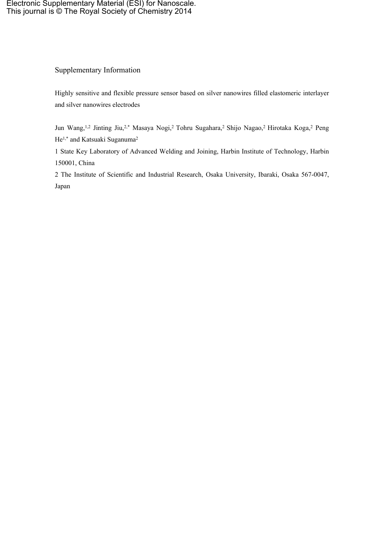## Supplementary Information

Highly sensitive and flexible pressure sensor based on silver nanowires filled elastomeric interlayer and silver nanowires electrodes

Jun Wang,1,2 Jinting Jiu,2,\* Masaya Nogi,<sup>2</sup> Tohru Sugahara,<sup>2</sup> Shijo Nagao,<sup>2</sup> Hirotaka Koga,<sup>2</sup> Peng He<sup>1,\*</sup> and Katsuaki Suganuma<sup>2</sup>

1 State Key Laboratory of Advanced Welding and Joining, Harbin Institute of Technology, Harbin 150001, China

2 The Institute of Scientific and Industrial Research, Osaka University, Ibaraki, Osaka 567-0047, Japan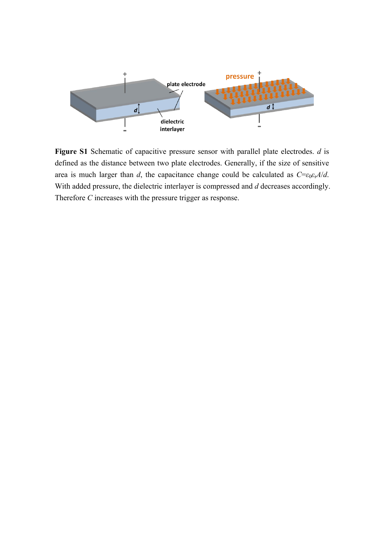

**Figure S1** Schematic of capacitive pressure sensor with parallel plate electrodes. *d* is defined as the distance between two plate electrodes. Generally, if the size of sensitive area is much larger than *d*, the capacitance change could be calculated as  $C = \epsilon_0 \epsilon_r A/d$ . With added pressure, the dielectric interlayer is compressed and *d* decreases accordingly. Therefore *C* increases with the pressure trigger as response.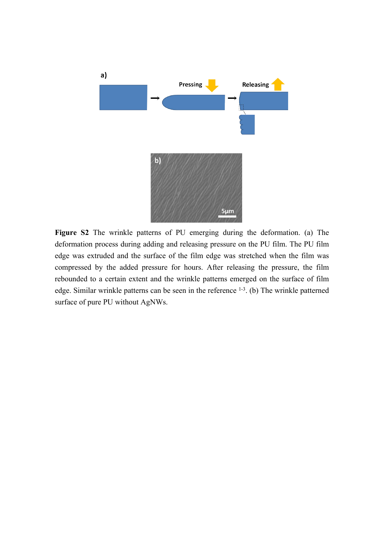

**Figure S2** The wrinkle patterns of PU emerging during the deformation. (a) The deformation process during adding and releasing pressure on the PU film. The PU film edge was extruded and the surface of the film edge was stretched when the film was compressed by the added pressure for hours. After releasing the pressure, the film rebounded to a certain extent and the wrinkle patterns emerged on the surface of film edge. Similar wrinkle patterns can be seen in the reference <sup>[1-3](#page-5-0)</sup>. (b) The wrinkle patterned surface of pure PU without AgNWs.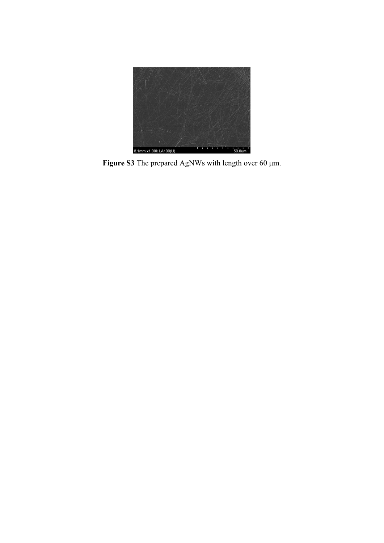

**Figure S3** The prepared AgNWs with length over 60 μm.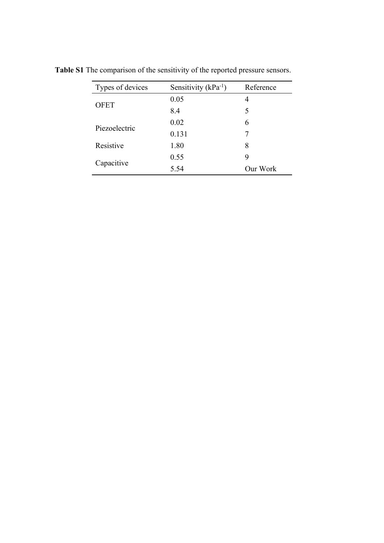| Types of devices | Sensitivity $(kPa^{-1})$ | Reference |
|------------------|--------------------------|-----------|
| <b>OFET</b>      | 0.05                     | 4         |
|                  | 8.4                      | 5         |
| Piezoelectric    | 0.02                     | 6         |
|                  | 0.131                    |           |
| Resistive        | 1.80                     | 8         |
| Capacitive       | 0.55                     | 9         |
|                  | 5.54                     | Our Work  |

**Table S1** The comparison of the sensitivity of the reported pressure sensors.